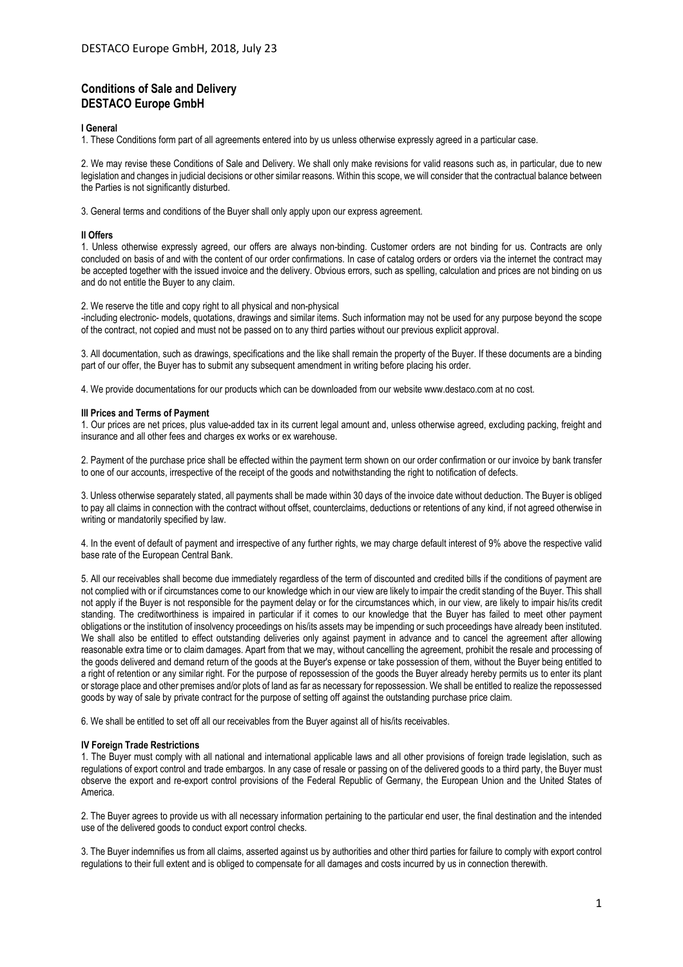# **Conditions of Sale and Delivery DESTACO Europe GmbH**

## **I General**

1. These Conditions form part of all agreements entered into by us unless otherwise expressly agreed in a particular case.

2. We may revise these Conditions of Sale and Delivery. We shall only make revisions for valid reasons such as, in particular, due to new legislation and changes in judicial decisions or other similar reasons. Within this scope, we will consider that the contractual balance between the Parties is not significantly disturbed.

3. General terms and conditions of the Buyer shall only apply upon our express agreement.

#### **II Offers**

1. Unless otherwise expressly agreed, our offers are always non-binding. Customer orders are not binding for us. Contracts are only concluded on basis of and with the content of our order confirmations. In case of catalog orders or orders via the internet the contract may be accepted together with the issued invoice and the delivery. Obvious errors, such as spelling, calculation and prices are not binding on us and do not entitle the Buyer to any claim.

2. We reserve the title and copy right to all physical and non-physical

-including electronic- models, quotations, drawings and similar items. Such information may not be used for any purpose beyond the scope of the contract, not copied and must not be passed on to any third parties without our previous explicit approval.

3. All documentation, such as drawings, specifications and the like shall remain the property of the Buyer. If these documents are a binding part of our offer, the Buyer has to submit any subsequent amendment in writing before placing his order.

4. We provide documentations for our products which can be downloaded from our website www.destaco.com at no cost.

#### **III Prices and Terms of Payment**

1. Our prices are net prices, plus value-added tax in its current legal amount and, unless otherwise agreed, excluding packing, freight and insurance and all other fees and charges ex works or ex warehouse.

2. Payment of the purchase price shall be effected within the payment term shown on our order confirmation or our invoice by bank transfer to one of our accounts, irrespective of the receipt of the goods and notwithstanding the right to notification of defects.

3. Unless otherwise separately stated, all payments shall be made within 30 days of the invoice date without deduction. The Buyer is obliged to pay all claims in connection with the contract without offset, counterclaims, deductions or retentions of any kind, if not agreed otherwise in writing or mandatorily specified by law.

4. In the event of default of payment and irrespective of any further rights, we may charge default interest of 9% above the respective valid base rate of the European Central Bank.

5. All our receivables shall become due immediately regardless of the term of discounted and credited bills if the conditions of payment are not complied with or if circumstances come to our knowledge which in our view are likely to impair the credit standing of the Buyer. This shall not apply if the Buyer is not responsible for the payment delay or for the circumstances which, in our view, are likely to impair his/its credit standing. The creditworthiness is impaired in particular if it comes to our knowledge that the Buyer has failed to meet other payment obligations or the institution of insolvency proceedings on his/its assets may be impending or such proceedings have already been instituted. We shall also be entitled to effect outstanding deliveries only against payment in advance and to cancel the agreement after allowing reasonable extra time or to claim damages. Apart from that we may, without cancelling the agreement, prohibit the resale and processing of the goods delivered and demand return of the goods at the Buyer's expense or take possession of them, without the Buyer being entitled to a right of retention or any similar right. For the purpose of repossession of the goods the Buyer already hereby permits us to enter its plant or storage place and other premises and/or plots of land as far as necessary for repossession. We shall be entitled to realize the repossessed goods by way of sale by private contract for the purpose of setting off against the outstanding purchase price claim.

6. We shall be entitled to set off all our receivables from the Buyer against all of his/its receivables.

## **IV Foreign Trade Restrictions**

1. The Buyer must comply with all national and international applicable laws and all other provisions of foreign trade legislation, such as regulations of export control and trade embargos. In any case of resale or passing on of the delivered goods to a third party, the Buyer must observe the export and re-export control provisions of the Federal Republic of Germany, the European Union and the United States of America.

2. The Buyer agrees to provide us with all necessary information pertaining to the particular end user, the final destination and the intended use of the delivered goods to conduct export control checks.

3. The Buyer indemnifies us from all claims, asserted against us by authorities and other third parties for failure to comply with export control regulations to their full extent and is obliged to compensate for all damages and costs incurred by us in connection therewith.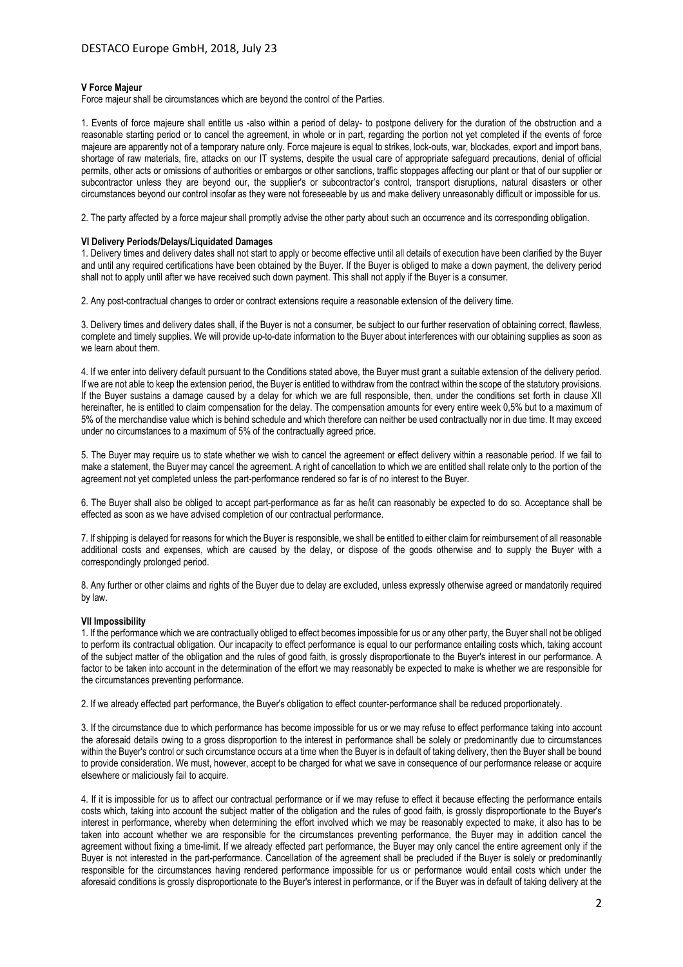# **V Force Majeur**

Force majeur shall be circumstances which are beyond the control of the Parties.

1. Events of force majeure shall entitle us -also within a period of delay- to postpone delivery for the duration of the obstruction and a reasonable starting period or to cancel the agreement, in whole or in part, regarding the portion not yet completed if the events of force majeure are apparently not of a temporary nature only. Force majeure is equal to strikes, lock-outs, war, blockades, export and import bans, shortage of raw materials, fire, attacks on our IT systems, despite the usual care of appropriate safeguard precautions, denial of official permits, other acts or omissions of authorities or embargos or other sanctions, traffic stoppages affecting our plant or that of our supplier or subcontractor unless they are beyond our, the supplier's or subcontractor's control, transport disruptions, natural disasters or other circumstances beyond our control insofar as they were not foreseeable by us and make delivery unreasonably difficult or impossible for us.

2. The party affected by a force majeur shall promptly advise the other party about such an occurrence and its corresponding obligation.

#### **VI Delivery Periods/Delays/Liquidated Damages**

1. Delivery times and delivery dates shall not start to apply or become effective until all details of execution have been clarified by the Buyer and until any required certifications have been obtained by the Buyer. If the Buyer is obliged to make a down payment, the delivery period shall not to apply until after we have received such down payment. This shall not apply if the Buyer is a consumer.

2. Any post-contractual changes to order or contract extensions require a reasonable extension of the delivery time.

3. Delivery times and delivery dates shall, if the Buyer is not a consumer, be subject to our further reservation of obtaining correct, flawless, complete and timely supplies. We will provide up-to-date information to the Buyer about interferences with our obtaining supplies as soon as we learn about them.

4. If we enter into delivery default pursuant to the Conditions stated above, the Buyer must grant a suitable extension of the delivery period. If we are not able to keep the extension period, the Buyer is entitled to withdraw from the contract within the scope of the statutory provisions. If the Buyer sustains a damage caused by a delay for which we are full responsible, then, under the conditions set forth in clause XII hereinafter, he is entitled to claim compensation for the delay. The compensation amounts for every entire week 0,5% but to a maximum of 5% of the merchandise value which is behind schedule and which therefore can neither be used contractually nor in due time. It may exceed under no circumstances to a maximum of 5% of the contractually agreed price.

5. The Buyer may require us to state whether we wish to cancel the agreement or effect delivery within a reasonable period. If we fail to make a statement, the Buyer may cancel the agreement. A right of cancellation to which we are entitled shall relate only to the portion of the agreement not yet completed unless the part-performance rendered so far is of no interest to the Buyer.

6. The Buyer shall also be obliged to accept part-performance as far as he/it can reasonably be expected to do so. Acceptance shall be effected as soon as we have advised completion of our contractual performance.

7. If shipping is delayed for reasons for which the Buyer is responsible, we shall be entitled to either claim for reimbursement of all reasonable additional costs and expenses, which are caused by the delay, or dispose of the goods otherwise and to supply the Buyer with a correspondingly prolonged period.

8. Any further or other claims and rights of the Buyer due to delay are excluded, unless expressly otherwise agreed or mandatorily required by law.

# **VII Impossibility**

1. If the performance which we are contractually obliged to effect becomes impossible for us or any other party, the Buyer shall not be obliged to perform its contractual obligation. Our incapacity to effect performance is equal to our performance entailing costs which, taking account of the subject matter of the obligation and the rules of good faith, is grossly disproportionate to the Buyer's interest in our performance. A factor to be taken into account in the determination of the effort we may reasonably be expected to make is whether we are responsible for the circumstances preventing performance.

2. If we already effected part performance, the Buyer's obligation to effect counter-performance shall be reduced proportionately.

3. If the circumstance due to which performance has become impossible for us or we may refuse to effect performance taking into account the aforesaid details owing to a gross disproportion to the interest in performance shall be solely or predominantly due to circumstances within the Buyer's control or such circumstance occurs at a time when the Buyer is in default of taking delivery, then the Buyer shall be bound to provide consideration. We must, however, accept to be charged for what we save in consequence of our performance release or acquire elsewhere or maliciously fail to acquire.

4. If it is impossible for us to affect our contractual performance or if we may refuse to effect it because effecting the performance entails costs which, taking into account the subject matter of the obligation and the rules of good faith, is grossly disproportionate to the Buyer's interest in performance, whereby when determining the effort involved which we may be reasonably expected to make, it also has to be taken into account whether we are responsible for the circumstances preventing performance, the Buyer may in addition cancel the agreement without fixing a time-limit. If we already effected part performance, the Buyer may only cancel the entire agreement only if the Buyer is not interested in the part-performance. Cancellation of the agreement shall be precluded if the Buyer is solely or predominantly responsible for the circumstances having rendered performance impossible for us or performance would entail costs which under the aforesaid conditions is grossly disproportionate to the Buyer's interest in performance, or if the Buyer was in default of taking delivery at the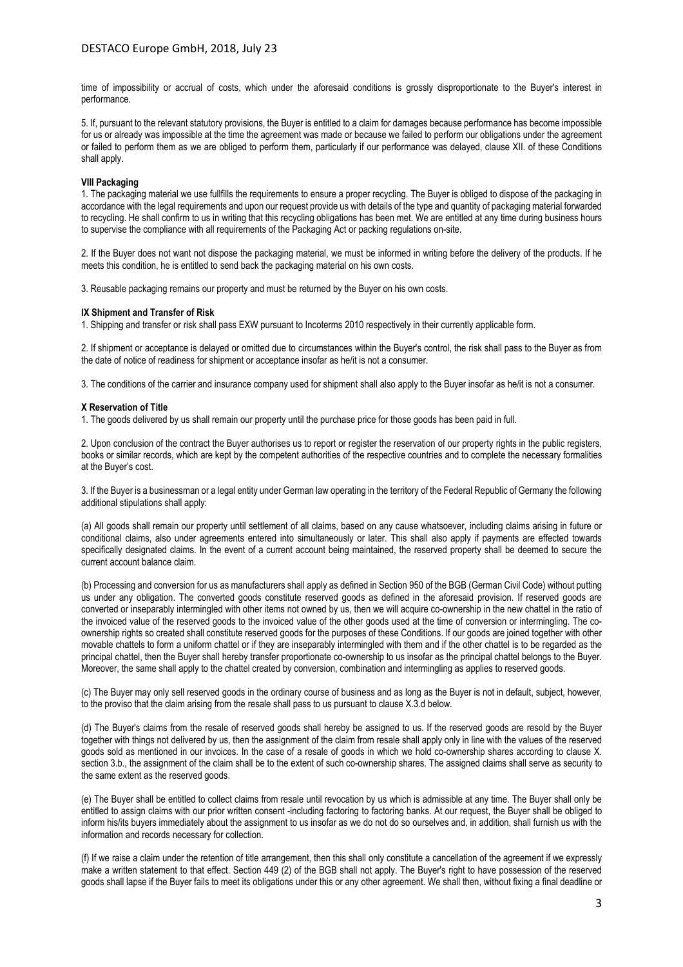time of impossibility or accrual of costs, which under the aforesaid conditions is grossly disproportionate to the Buyer's interest in performance.

5. If, pursuant to the relevant statutory provisions, the Buyer is entitled to a claim for damages because performance has become impossible for us or already was impossible at the time the agreement was made or because we failed to perform our obligations under the agreement or failed to perform them as we are obliged to perform them, particularly if our performance was delayed, clause XII. of these Conditions shall apply.

## **VIII Packaging**

1. The packaging material we use fullfills the requirements to ensure a proper recycling. The Buyer is obliged to dispose of the packaging in accordance with the legal requirements and upon our request provide us with details of the type and quantity of packaging material forwarded to recycling. He shall confirm to us in writing that this recycling obligations has been met. We are entitled at any time during business hours to supervise the compliance with all requirements of the Packaging Act or packing regulations on-site.

2. If the Buyer does not want not dispose the packaging material, we must be informed in writing before the delivery of the products. If he meets this condition, he is entitled to send back the packaging material on his own costs.

3. Reusable packaging remains our property and must be returned by the Buyer on his own costs.

### **IX Shipment and Transfer of Risk**

1. Shipping and transfer or risk shall pass EXW pursuant to Incoterms 2010 respectively in their currently applicable form.

2. If shipment or acceptance is delayed or omitted due to circumstances within the Buyer's control, the risk shall pass to the Buyer as from the date of notice of readiness for shipment or acceptance insofar as he/it is not a consumer.

3. The conditions of the carrier and insurance company used for shipment shall also apply to the Buyer insofar as he/it is not a consumer.

### **X Reservation of Title**

1. The goods delivered by us shall remain our property until the purchase price for those goods has been paid in full.

2. Upon conclusion of the contract the Buyer authorises us to report or register the reservation of our property rights in the public registers, books or similar records, which are kept by the competent authorities of the respective countries and to complete the necessary formalities at the Buyer's cost.

3. If the Buyer is a businessman or a legal entity under German law operating in the territory of the Federal Republic of Germany the following additional stipulations shall apply:

(a) All goods shall remain our property until settlement of all claims, based on any cause whatsoever, including claims arising in future or conditional claims, also under agreements entered into simultaneously or later. This shall also apply if payments are effected towards specifically designated claims. In the event of a current account being maintained, the reserved property shall be deemed to secure the current account balance claim.

(b) Processing and conversion for us as manufacturers shall apply as defined in Section 950 of the BGB (German Civil Code) without putting us under any obligation. The converted goods constitute reserved goods as defined in the aforesaid provision. If reserved goods are converted or inseparably intermingled with other items not owned by us, then we will acquire co-ownership in the new chattel in the ratio of the invoiced value of the reserved goods to the invoiced value of the other goods used at the time of conversion or intermingling. The coownership rights so created shall constitute reserved goods for the purposes of these Conditions. If our goods are joined together with other movable chattels to form a uniform chattel or if they are inseparably intermingled with them and if the other chattel is to be regarded as the principal chattel, then the Buyer shall hereby transfer proportionate co-ownership to us insofar as the principal chattel belongs to the Buyer. Moreover, the same shall apply to the chattel created by conversion, combination and intermingling as applies to reserved goods.

(c) The Buyer may only sell reserved goods in the ordinary course of business and as long as the Buyer is not in default, subject, however, to the proviso that the claim arising from the resale shall pass to us pursuant to clause X.3.d below.

(d) The Buyer's claims from the resale of reserved goods shall hereby be assigned to us. If the reserved goods are resold by the Buyer together with things not delivered by us, then the assignment of the claim from resale shall apply only in line with the values of the reserved goods sold as mentioned in our invoices. In the case of a resale of goods in which we hold co-ownership shares according to clause X. section 3.b., the assignment of the claim shall be to the extent of such co-ownership shares. The assigned claims shall serve as security to the same extent as the reserved goods.

(e) The Buyer shall be entitled to collect claims from resale until revocation by us which is admissible at any time. The Buyer shall only be entitled to assign claims with our prior written consent -including factoring to factoring banks. At our request, the Buyer shall be obliged to inform his/its buyers immediately about the assignment to us insofar as we do not do so ourselves and, in addition, shall furnish us with the information and records necessary for collection.

(f) If we raise a claim under the retention of title arrangement, then this shall only constitute a cancellation of the agreement if we expressly make a written statement to that effect. Section 449 (2) of the BGB shall not apply. The Buyer's right to have possession of the reserved goods shall lapse if the Buyer fails to meet its obligations under this or any other agreement. We shall then, without fixing a final deadline or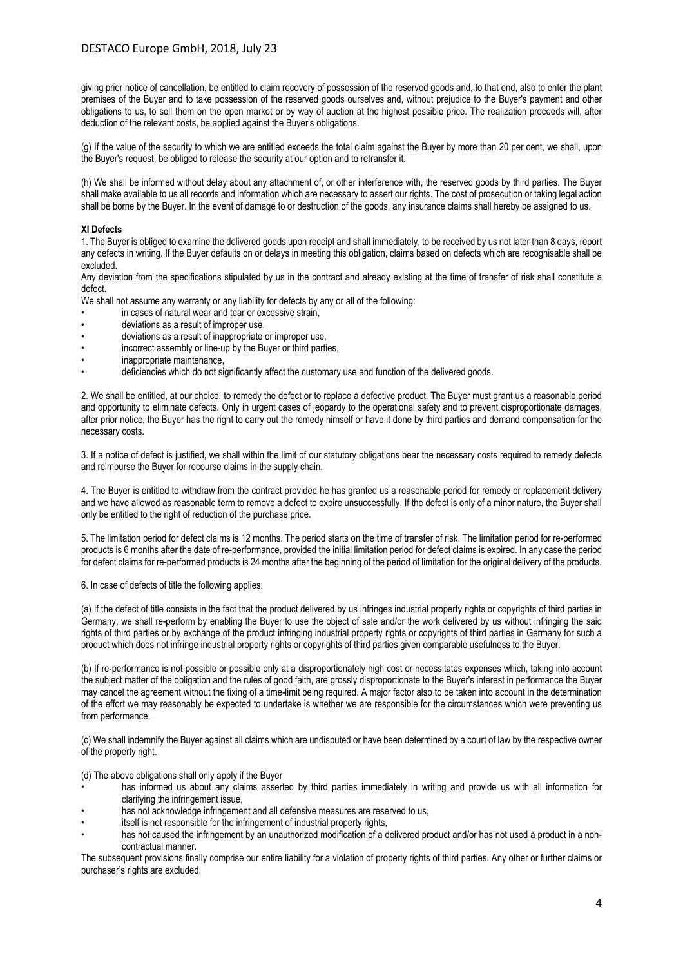giving prior notice of cancellation, be entitled to claim recovery of possession of the reserved goods and, to that end, also to enter the plant premises of the Buyer and to take possession of the reserved goods ourselves and, without prejudice to the Buyer's payment and other obligations to us, to sell them on the open market or by way of auction at the highest possible price. The realization proceeds will, after deduction of the relevant costs, be applied against the Buyer's obligations.

(g) If the value of the security to which we are entitled exceeds the total claim against the Buyer by more than 20 per cent, we shall, upon the Buyer's request, be obliged to release the security at our option and to retransfer it.

(h) We shall be informed without delay about any attachment of, or other interference with, the reserved goods by third parties. The Buyer shall make available to us all records and information which are necessary to assert our rights. The cost of prosecution or taking legal action shall be borne by the Buyer. In the event of damage to or destruction of the goods, any insurance claims shall hereby be assigned to us.

# **XI Defects**

1. The Buyer is obliged to examine the delivered goods upon receipt and shall immediately, to be received by us not later than 8 days, report any defects in writing. If the Buyer defaults on or delays in meeting this obligation, claims based on defects which are recognisable shall be excluded.

Any deviation from the specifications stipulated by us in the contract and already existing at the time of transfer of risk shall constitute a defect.

We shall not assume any warranty or any liability for defects by any or all of the following:

- in cases of natural wear and tear or excessive strain.
- deviations as a result of improper use,
- deviations as a result of inappropriate or improper use,
- incorrect assembly or line-up by the Buyer or third parties.
- inappropriate maintenance.
- deficiencies which do not significantly affect the customary use and function of the delivered goods.

2. We shall be entitled, at our choice, to remedy the defect or to replace a defective product. The Buyer must grant us a reasonable period and opportunity to eliminate defects. Only in urgent cases of jeopardy to the operational safety and to prevent disproportionate damages, after prior notice, the Buyer has the right to carry out the remedy himself or have it done by third parties and demand compensation for the necessary costs.

3. If a notice of defect is justified, we shall within the limit of our statutory obligations bear the necessary costs required to remedy defects and reimburse the Buyer for recourse claims in the supply chain.

4. The Buyer is entitled to withdraw from the contract provided he has granted us a reasonable period for remedy or replacement delivery and we have allowed as reasonable term to remove a defect to expire unsuccessfully. If the defect is only of a minor nature, the Buyer shall only be entitled to the right of reduction of the purchase price.

5. The limitation period for defect claims is 12 months. The period starts on the time of transfer of risk. The limitation period for re-performed products is 6 months after the date of re-performance, provided the initial limitation period for defect claims is expired. In any case the period for defect claims for re-performed products is 24 months after the beginning of the period of limitation for the original delivery of the products.

6. In case of defects of title the following applies:

(a) If the defect of title consists in the fact that the product delivered by us infringes industrial property rights or copyrights of third parties in Germany, we shall re-perform by enabling the Buyer to use the object of sale and/or the work delivered by us without infringing the said rights of third parties or by exchange of the product infringing industrial property rights or copyrights of third parties in Germany for such a product which does not infringe industrial property rights or copyrights of third parties given comparable usefulness to the Buyer.

(b) If re-performance is not possible or possible only at a disproportionately high cost or necessitates expenses which, taking into account the subject matter of the obligation and the rules of good faith, are grossly disproportionate to the Buyer's interest in performance the Buyer may cancel the agreement without the fixing of a time-limit being required. A major factor also to be taken into account in the determination of the effort we may reasonably be expected to undertake is whether we are responsible for the circumstances which were preventing us from performance.

(c) We shall indemnify the Buyer against all claims which are undisputed or have been determined by a court of law by the respective owner of the property right.

(d) The above obligations shall only apply if the Buyer

- has informed us about any claims asserted by third parties immediately in writing and provide us with all information for clarifying the infringement issue,
- has not acknowledge infringement and all defensive measures are reserved to us,
- itself is not responsible for the infringement of industrial property rights,
- has not caused the infringement by an unauthorized modification of a delivered product and/or has not used a product in a noncontractual manner.

The subsequent provisions finally comprise our entire liability for a violation of property rights of third parties. Any other or further claims or purchaser's rights are excluded.